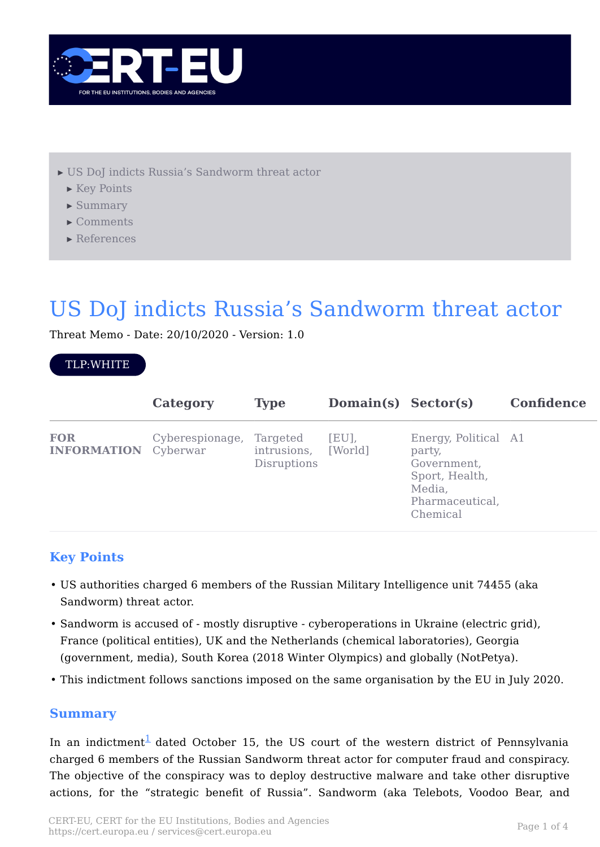

- [▸](#page-0-0) [US DoJ indicts Russia's Sandworm threat actor](#page-0-0)
	- [▸](#page-0-1) [Key Points](#page-0-1)
	- [▸](#page-0-2) [Summary](#page-0-2)
	- [▸](#page-2-0) [Comments](#page-2-0)
	- [▸](#page-3-0) [References](#page-3-0)

# <span id="page-0-0"></span>US DoJ indicts Russia's Sandworm threat actor

Threat Memo - Date: 20/10/2020 - Version: 1.0

#### TLP:WHITE

|                                           | Category        | <b>Type</b>                            | Domain(s) Sector(s) |                                                                                                          | <b>Confidence</b> |
|-------------------------------------------|-----------------|----------------------------------------|---------------------|----------------------------------------------------------------------------------------------------------|-------------------|
| <b>FOR</b><br><b>INFORMATION</b> Cyberwar | Cyberespionage, | Targeted<br>intrusions,<br>Disruptions | [EU],<br>[World]    | Energy, Political A1<br>party,<br>Government,<br>Sport, Health,<br>Media,<br>Pharmaceutical,<br>Chemical |                   |

# <span id="page-0-1"></span>**Key Points**

- US authorities charged 6 members of the Russian Military Intelligence unit 74455 (aka Sandworm) threat actor.
- Sandworm is accused of mostly disruptive cyberoperations in Ukraine (electric grid), France (political entities), UK and the Netherlands (chemical laboratories), Georgia (government, media), South Korea (2018 Winter Olympics) and globally (NotPetya).
- This indictment follows sanctions imposed on the same organisation by the EU in July 2020.

## <span id="page-0-2"></span>**Summary**

In an indictment<sup>1</sup> dated October 15, the US court of the western district of Pennsylvania charged 6 members of the Russian Sandworm threat actor for computer fraud and conspiracy. The objective of the conspiracy was to deploy destructive malware and take other disruptive actions, for the "strategic benefit of Russia". Sandworm (aka Telebots, Voodoo Bear, and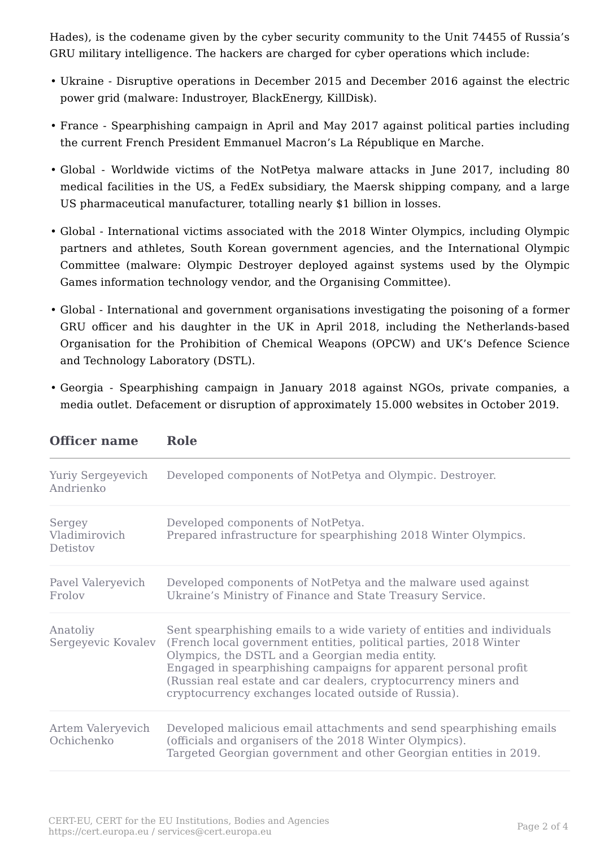Hades), is the codename given by the cyber security community to the Unit 74455 of Russia's GRU military intelligence. The hackers are charged for cyber operations which include:

- Ukraine Disruptive operations in December 2015 and December 2016 against the electric power grid (malware: Industroyer, BlackEnergy, KillDisk).
- France Spearphishing campaign in April and May 2017 against political parties including the current French President Emmanuel Macron's La République en Marche.
- Global Worldwide victims of the NotPetya malware attacks in June 2017, including 80 medical facilities in the US, a FedEx subsidiary, the Maersk shipping company, and a large US pharmaceutical manufacturer, totalling nearly \$1 billion in losses.
- Global International victims associated with the 2018 Winter Olympics, including Olympic partners and athletes, South Korean government agencies, and the International Olympic Committee (malware: Olympic Destroyer deployed against systems used by the Olympic Games information technology vendor, and the Organising Committee).
- Global International and government organisations investigating the poisoning of a former GRU officer and his daughter in the UK in April 2018, including the Netherlands-based Organisation for the Prohibition of Chemical Weapons (OPCW) and UK's Defence Science and Technology Laboratory (DSTL).
- Georgia Spearphishing campaign in January 2018 against NGOs, private companies, a media outlet. Defacement or disruption of approximately 15.000 websites in October 2019.

| Yuriy Sergeyevich<br>Andrienko      | Developed components of NotPetya and Olympic. Destroyer.                                                                                                                                                                                                                                                                                                                                      |
|-------------------------------------|-----------------------------------------------------------------------------------------------------------------------------------------------------------------------------------------------------------------------------------------------------------------------------------------------------------------------------------------------------------------------------------------------|
| Sergey<br>Vladimirovich<br>Detistov | Developed components of NotPetya.<br>Prepared infrastructure for spearphishing 2018 Winter Olympics.                                                                                                                                                                                                                                                                                          |
| Pavel Valeryevich<br>Frolov         | Developed components of NotPetya and the malware used against<br>Ukraine's Ministry of Finance and State Treasury Service.                                                                                                                                                                                                                                                                    |
| Anatoliy<br>Sergeyevic Kovalev      | Sent spearphishing emails to a wide variety of entities and individuals<br>(French local government entities, political parties, 2018 Winter<br>Olympics, the DSTL and a Georgian media entity.<br>Engaged in spearphishing campaigns for apparent personal profit<br>(Russian real estate and car dealers, cryptocurrency miners and<br>cryptocurrency exchanges located outside of Russia). |
| Artem Valeryevich<br>Ochichenko     | Developed malicious email attachments and send spearphishing emails<br>(officials and organisers of the 2018 Winter Olympics).<br>Targeted Georgian government and other Georgian entities in 2019.                                                                                                                                                                                           |

| <b>Officer name</b><br>Role |
|-----------------------------|
|-----------------------------|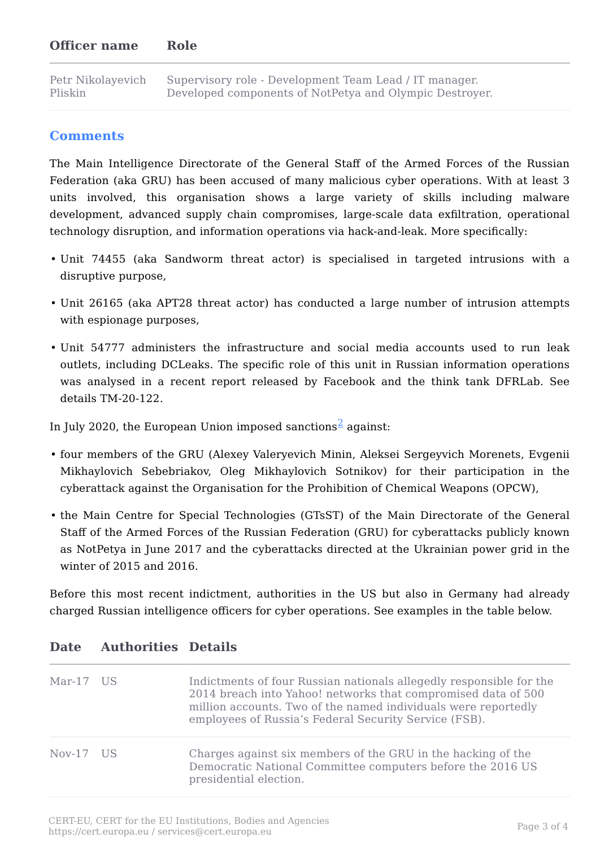#### **Officer name Role**

Petr Nikolayevich Pliskin Supervisory role - Development Team Lead / IT manager. Developed components of NotPetya and Olympic Destroyer.

## <span id="page-2-0"></span>**Comments**

The Main Intelligence Directorate of the General Staff of the Armed Forces of the Russian Federation (aka GRU) has been accused of many malicious cyber operations. With at least 3 units involved, this organisation shows a large variety of skills including malware development, advanced supply chain compromises, large-scale data exfiltration, operational technology disruption, and information operations via hack-and-leak. More specifically:

- Unit 74455 (aka Sandworm threat actor) is specialised in targeted intrusions with a disruptive purpose,
- Unit 26165 (aka APT28 threat actor) has conducted a large number of intrusion attempts with espionage purposes,
- Unit 54777 administers the infrastructure and social media accounts used to run leak outlets, including DCLeaks. The specific role of this unit in Russian information operations was analysed in a recent report released by Facebook and the think tank DFRLab. See details TM-20-122.

In July 2020, the European Union imposed sanctions<sup>2</sup> against:

- four members of the GRU (Alexey Valeryevich Minin, Aleksei Sergeyvich Morenets, Evgenii Mikhaylovich Sebebriakov, Oleg Mikhaylovich Sotnikov) for their participation in the cyberattack against the Organisation for the Prohibition of Chemical Weapons (OPCW),
- the Main Centre for Special Technologies (GTsST) of the Main Directorate of the General Staff of the Armed Forces of the Russian Federation (GRU) for cyberattacks publicly known as NotPetya in June 2017 and the cyberattacks directed at the Ukrainian power grid in the winter of 2015 and 2016.

Before this most recent indictment, authorities in the US but also in Germany had already charged Russian intelligence officers for cyber operations. See examples in the table below.

| Mar-17 US | Indictments of four Russian nationals allegedly responsible for the<br>2014 breach into Yahoo! networks that compromised data of 500<br>million accounts. Two of the named individuals were reportedly<br>employees of Russia's Federal Security Service (FSB). |
|-----------|-----------------------------------------------------------------------------------------------------------------------------------------------------------------------------------------------------------------------------------------------------------------|
| Nov-17 US | Charges against six members of the GRU in the hacking of the<br>Democratic National Committee computers before the 2016 US<br>presidential election.                                                                                                            |

#### **Date Authorities Details**